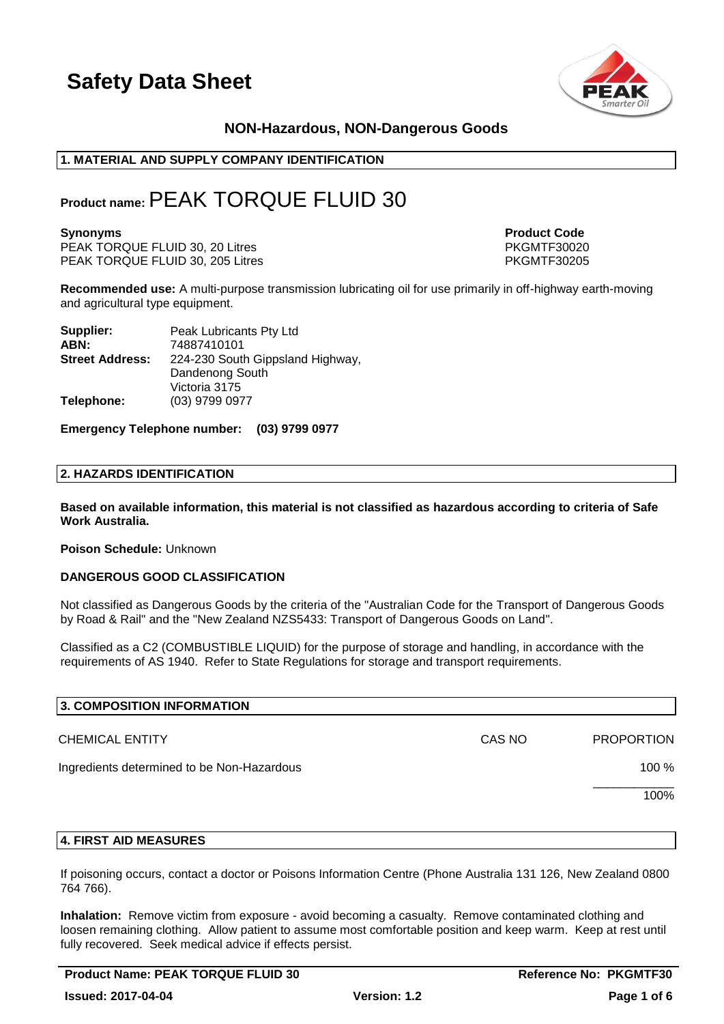

### **NON-Hazardous, NON-Dangerous Goods**

#### **1. MATERIAL AND SUPPLY COMPANY IDENTIFICATION**

### **Product name:**PEAK TORQUE FLUID 30

PEAK TORQUE FLUID 30, 20 Litres PEAK TORQUE FLUID 30, 20 Litres PKGMTF30020<br>PEAK TORQUE FLUID 30, 205 Litres PKGMTF30205 PEAK TORQUE FLUID 30, 205 Litres

**Synonyms Product Code** 

**Recommended use:** A multi-purpose transmission lubricating oil for use primarily in off-highway earth-moving and agricultural type equipment.

| Supplier:              | Peak Lubricants Pty Ltd          |
|------------------------|----------------------------------|
| ABN:                   | 74887410101                      |
| <b>Street Address:</b> | 224-230 South Gippsland Highway, |
|                        | Dandenong South                  |
|                        | Victoria 3175                    |
| Telephone:             | (03) 9799 0977                   |

**Emergency Telephone number: (03) 9799 0977**

#### **2. HAZARDS IDENTIFICATION**

**Based on available information, this material is not classified as hazardous according to criteria of Safe Work Australia.**

#### **Poison Schedule:** Unknown

#### **DANGEROUS GOOD CLASSIFICATION**

Not classified as Dangerous Goods by the criteria of the "Australian Code for the Transport of Dangerous Goods by Road & Rail" and the "New Zealand NZS5433: Transport of Dangerous Goods on Land".

Classified as a C2 (COMBUSTIBLE LIQUID) for the purpose of storage and handling, in accordance with the requirements of AS 1940. Refer to State Regulations for storage and transport requirements.

| 3. COMPOSITION INFORMATION                 |        |                   |
|--------------------------------------------|--------|-------------------|
| <b>CHEMICAL ENTITY</b>                     | CAS NO | <b>PROPORTION</b> |
| Ingredients determined to be Non-Hazardous |        | 100 %             |
|                                            |        | 100%              |
|                                            |        |                   |

#### **4. FIRST AID MEASURES**

If poisoning occurs, contact a doctor or Poisons Information Centre (Phone Australia 131 126, New Zealand 0800 764 766).

**Inhalation:** Remove victim from exposure - avoid becoming a casualty. Remove contaminated clothing and loosen remaining clothing. Allow patient to assume most comfortable position and keep warm. Keep at rest until fully recovered. Seek medical advice if effects persist.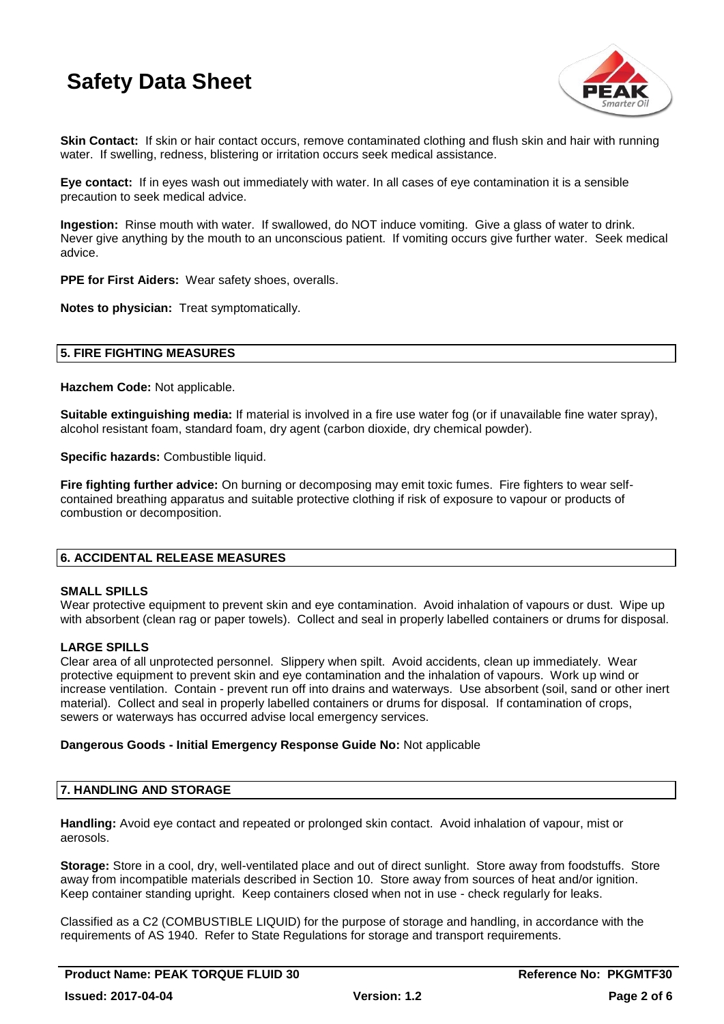

**Skin Contact:** If skin or hair contact occurs, remove contaminated clothing and flush skin and hair with running water. If swelling, redness, blistering or irritation occurs seek medical assistance.

**Eye contact:** If in eyes wash out immediately with water. In all cases of eye contamination it is a sensible precaution to seek medical advice.

**Ingestion:** Rinse mouth with water. If swallowed, do NOT induce vomiting. Give a glass of water to drink. Never give anything by the mouth to an unconscious patient. If vomiting occurs give further water. Seek medical advice.

**PPE for First Aiders:** Wear safety shoes, overalls.

**Notes to physician:** Treat symptomatically.

#### **5. FIRE FIGHTING MEASURES**

**Hazchem Code:** Not applicable.

**Suitable extinguishing media:** If material is involved in a fire use water fog (or if unavailable fine water spray), alcohol resistant foam, standard foam, dry agent (carbon dioxide, dry chemical powder).

**Specific hazards:** Combustible liquid.

**Fire fighting further advice:** On burning or decomposing may emit toxic fumes. Fire fighters to wear selfcontained breathing apparatus and suitable protective clothing if risk of exposure to vapour or products of combustion or decomposition.

#### **6. ACCIDENTAL RELEASE MEASURES**

#### **SMALL SPILLS**

Wear protective equipment to prevent skin and eye contamination. Avoid inhalation of vapours or dust. Wipe up with absorbent (clean rag or paper towels). Collect and seal in properly labelled containers or drums for disposal.

#### **LARGE SPILLS**

Clear area of all unprotected personnel. Slippery when spilt. Avoid accidents, clean up immediately. Wear protective equipment to prevent skin and eye contamination and the inhalation of vapours. Work up wind or increase ventilation. Contain - prevent run off into drains and waterways. Use absorbent (soil, sand or other inert material). Collect and seal in properly labelled containers or drums for disposal. If contamination of crops, sewers or waterways has occurred advise local emergency services.

#### **Dangerous Goods - Initial Emergency Response Guide No:** Not applicable

#### **7. HANDLING AND STORAGE**

**Handling:** Avoid eye contact and repeated or prolonged skin contact. Avoid inhalation of vapour, mist or aerosols.

**Storage:** Store in a cool, dry, well-ventilated place and out of direct sunlight. Store away from foodstuffs. Store away from incompatible materials described in Section 10. Store away from sources of heat and/or ignition. Keep container standing upright. Keep containers closed when not in use - check regularly for leaks.

Classified as a C2 (COMBUSTIBLE LIQUID) for the purpose of storage and handling, in accordance with the requirements of AS 1940. Refer to State Regulations for storage and transport requirements.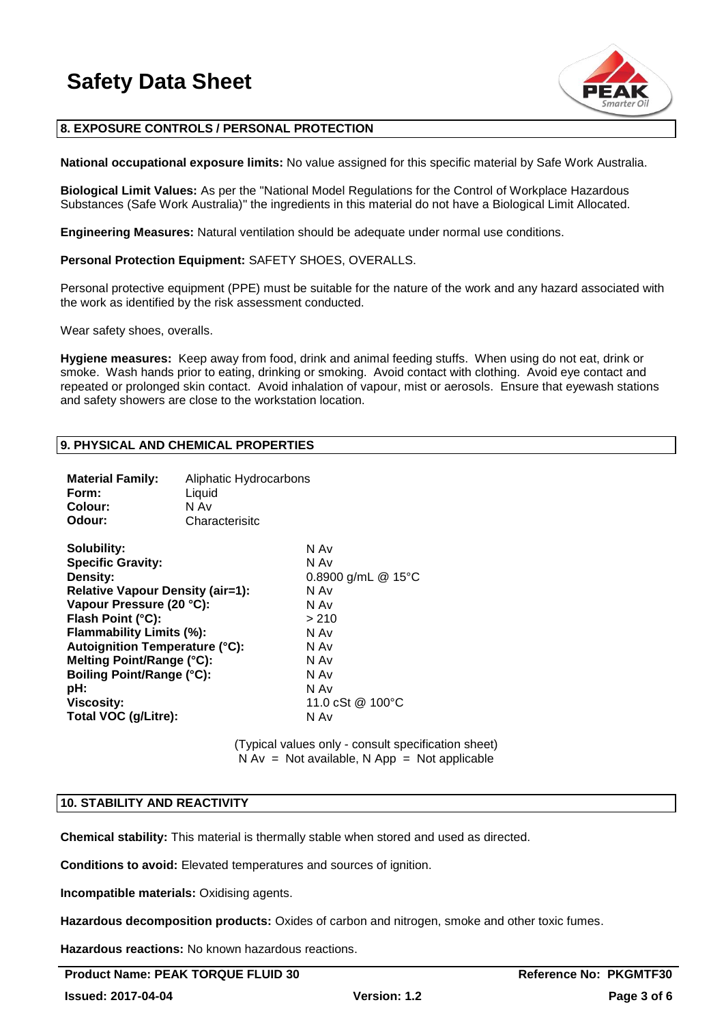

#### **8. EXPOSURE CONTROLS / PERSONAL PROTECTION**

**National occupational exposure limits:** No value assigned for this specific material by Safe Work Australia.

**Biological Limit Values:** As per the "National Model Regulations for the Control of Workplace Hazardous Substances (Safe Work Australia)" the ingredients in this material do not have a Biological Limit Allocated.

**Engineering Measures:** Natural ventilation should be adequate under normal use conditions.

#### **Personal Protection Equipment:** SAFETY SHOES, OVERALLS.

Personal protective equipment (PPE) must be suitable for the nature of the work and any hazard associated with the work as identified by the risk assessment conducted.

Wear safety shoes, overalls.

**Hygiene measures:** Keep away from food, drink and animal feeding stuffs. When using do not eat, drink or smoke. Wash hands prior to eating, drinking or smoking. Avoid contact with clothing. Avoid eye contact and repeated or prolonged skin contact. Avoid inhalation of vapour, mist or aerosols. Ensure that eyewash stations and safety showers are close to the workstation location.

#### **9. PHYSICAL AND CHEMICAL PROPERTIES**

| 0.8900 g/mL $@$ 15°C<br>11.0 cSt @ 100 °C |
|-------------------------------------------|
|                                           |

(Typical values only - consult specification sheet)  $N Av = Not available, N App = Not applicable$ 

#### **10. STABILITY AND REACTIVITY**

**Chemical stability:** This material is thermally stable when stored and used as directed.

**Conditions to avoid:** Elevated temperatures and sources of ignition.

**Incompatible materials:** Oxidising agents.

**Hazardous decomposition products:** Oxides of carbon and nitrogen, smoke and other toxic fumes.

**Hazardous reactions:** No known hazardous reactions.

**Product Name: PEAK TORQUE FLUID 30 And Accord 20 Accord Reference No: PKGMTF30**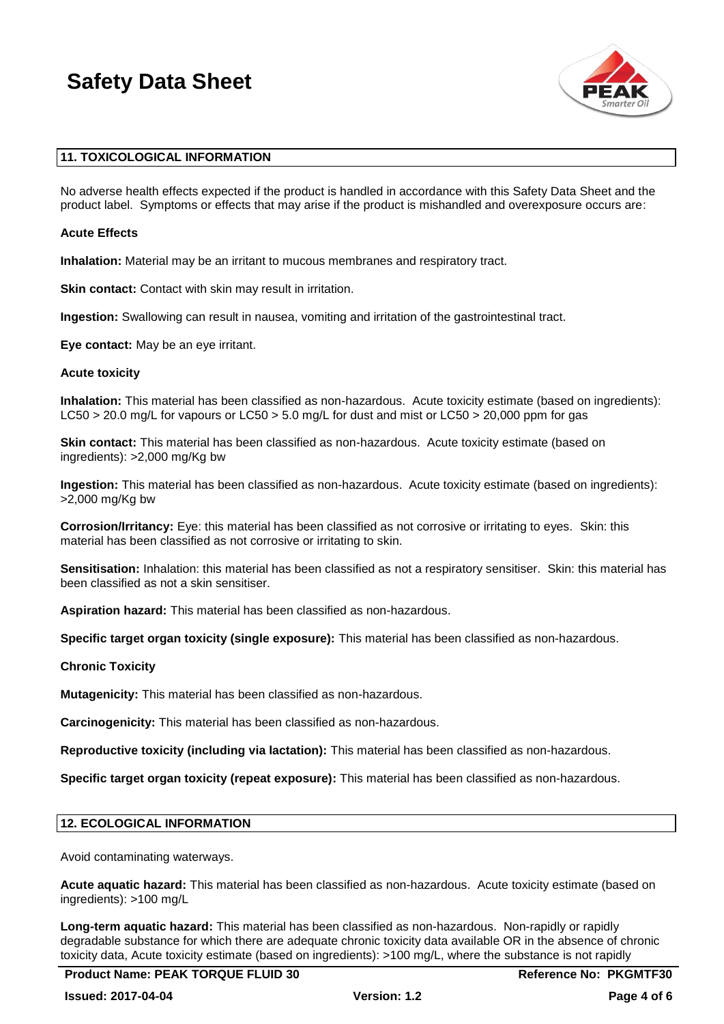

#### **11. TOXICOLOGICAL INFORMATION**

No adverse health effects expected if the product is handled in accordance with this Safety Data Sheet and the product label. Symptoms or effects that may arise if the product is mishandled and overexposure occurs are:

#### **Acute Effects**

**Inhalation:** Material may be an irritant to mucous membranes and respiratory tract.

**Skin contact:** Contact with skin may result in irritation.

**Ingestion:** Swallowing can result in nausea, vomiting and irritation of the gastrointestinal tract.

**Eye contact:** May be an eye irritant.

#### **Acute toxicity**

**Inhalation:** This material has been classified as non-hazardous. Acute toxicity estimate (based on ingredients): LC50 > 20.0 mg/L for vapours or LC50 > 5.0 mg/L for dust and mist or LC50 > 20,000 ppm for gas

**Skin contact:** This material has been classified as non-hazardous. Acute toxicity estimate (based on ingredients): >2,000 mg/Kg bw

**Ingestion:** This material has been classified as non-hazardous. Acute toxicity estimate (based on ingredients): >2,000 mg/Kg bw

**Corrosion/Irritancy:** Eye: this material has been classified as not corrosive or irritating to eyes. Skin: this material has been classified as not corrosive or irritating to skin.

**Sensitisation:** Inhalation: this material has been classified as not a respiratory sensitiser. Skin: this material has been classified as not a skin sensitiser.

**Aspiration hazard:** This material has been classified as non-hazardous.

**Specific target organ toxicity (single exposure):** This material has been classified as non-hazardous.

**Chronic Toxicity**

**Mutagenicity:** This material has been classified as non-hazardous.

**Carcinogenicity:** This material has been classified as non-hazardous.

**Reproductive toxicity (including via lactation):** This material has been classified as non-hazardous.

**Specific target organ toxicity (repeat exposure):** This material has been classified as non-hazardous.

#### **12. ECOLOGICAL INFORMATION**

Avoid contaminating waterways.

**Acute aquatic hazard:** This material has been classified as non-hazardous. Acute toxicity estimate (based on ingredients): >100 mg/L

**Long-term aquatic hazard:** This material has been classified as non-hazardous. Non-rapidly or rapidly degradable substance for which there are adequate chronic toxicity data available OR in the absence of chronic toxicity data, Acute toxicity estimate (based on ingredients): >100 mg/L, where the substance is not rapidly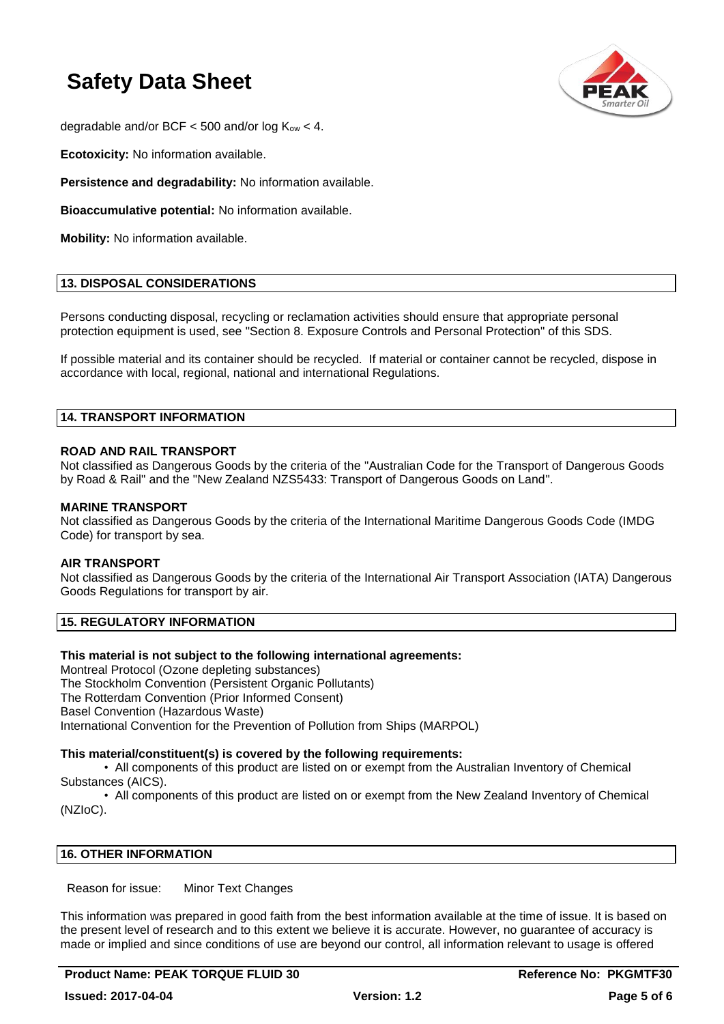

degradable and/or BCF  $<$  500 and/or log  $K_{ow}$   $<$  4.

**Ecotoxicity:** No information available.

**Persistence and degradability:** No information available.

**Bioaccumulative potential:** No information available.

**Mobility:** No information available.

#### **13. DISPOSAL CONSIDERATIONS**

Persons conducting disposal, recycling or reclamation activities should ensure that appropriate personal protection equipment is used, see "Section 8. Exposure Controls and Personal Protection" of this SDS.

If possible material and its container should be recycled. If material or container cannot be recycled, dispose in accordance with local, regional, national and international Regulations.

#### **14. TRANSPORT INFORMATION**

#### **ROAD AND RAIL TRANSPORT**

Not classified as Dangerous Goods by the criteria of the "Australian Code for the Transport of Dangerous Goods by Road & Rail" and the "New Zealand NZS5433: Transport of Dangerous Goods on Land".

#### **MARINE TRANSPORT**

Not classified as Dangerous Goods by the criteria of the International Maritime Dangerous Goods Code (IMDG Code) for transport by sea.

#### **AIR TRANSPORT**

Not classified as Dangerous Goods by the criteria of the International Air Transport Association (IATA) Dangerous Goods Regulations for transport by air.

#### **15. REGULATORY INFORMATION**

#### **This material is not subject to the following international agreements:**

Montreal Protocol (Ozone depleting substances) The Stockholm Convention (Persistent Organic Pollutants) The Rotterdam Convention (Prior Informed Consent) Basel Convention (Hazardous Waste) International Convention for the Prevention of Pollution from Ships (MARPOL)

#### **This material/constituent(s) is covered by the following requirements:**

• All components of this product are listed on or exempt from the Australian Inventory of Chemical Substances (AICS).

• All components of this product are listed on or exempt from the New Zealand Inventory of Chemical (NZIoC).

#### **16. OTHER INFORMATION**

Reason for issue: Minor Text Changes

This information was prepared in good faith from the best information available at the time of issue. It is based on the present level of research and to this extent we believe it is accurate. However, no guarantee of accuracy is made or implied and since conditions of use are beyond our control, all information relevant to usage is offered